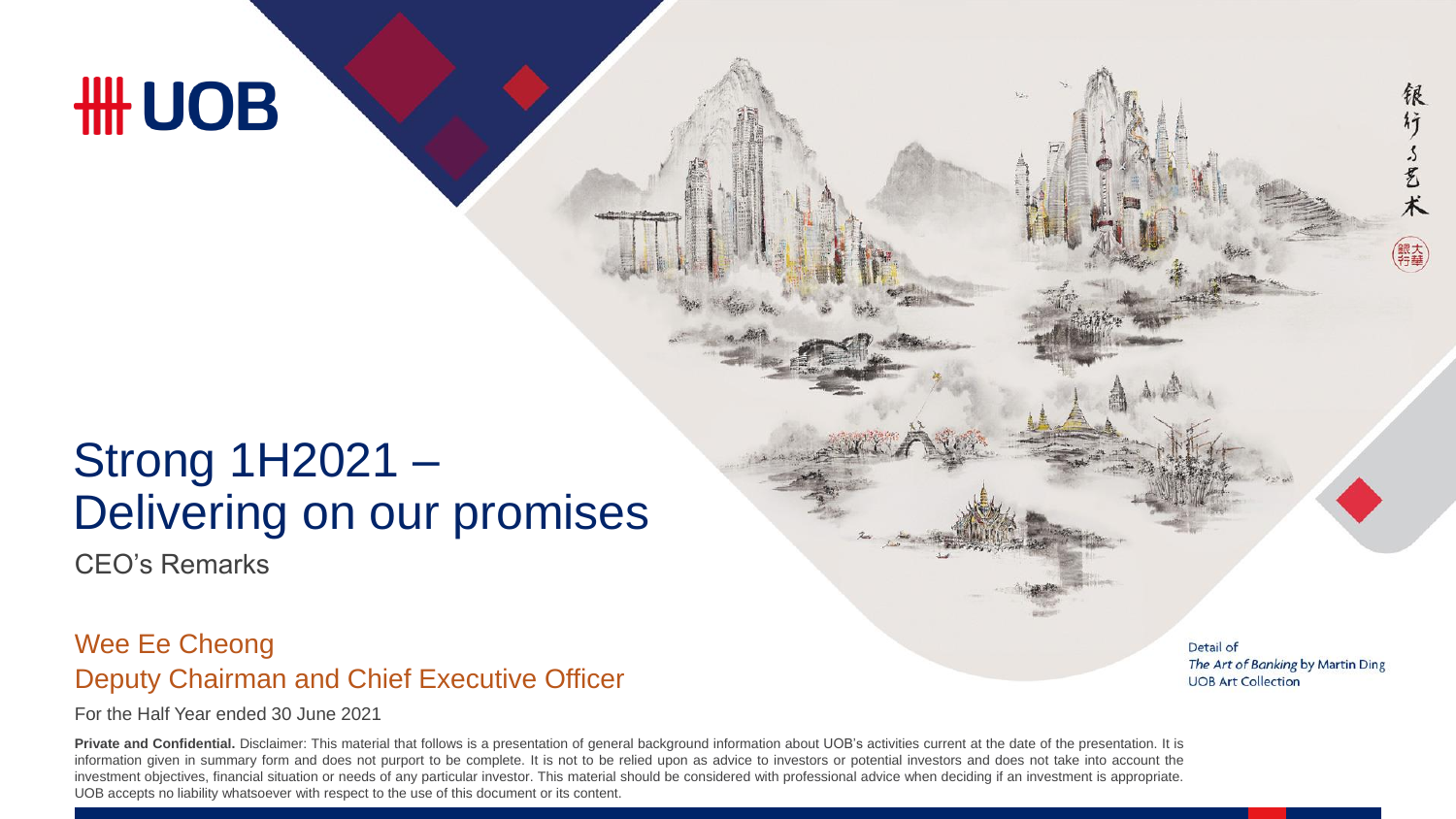# **HH UOB**

### Strong 1H2021 – Delivering on our promises

CEO's Remarks

#### Deputy Chairman and Chief Executive Officer Wee Ee Cheong

For the Half Year ended 30 June 2021

Private and Confidential. Disclaimer: This material that follows is a presentation of general background information about UOB's activities current at the date of the presentation. It is information given in summary form and does not purport to be complete. It is not to be relied upon as advice to investors or potential investors and does not take into account the investment objectives, financial situation or needs of any particular investor. This material should be considered with professional advice when deciding if an investment is appropriate. UOB accepts no liability whatsoever with respect to the use of this document or its content.

Detail of The Art of Banking by Martin Ding **UOB Art Collection** 

稂

行了艺术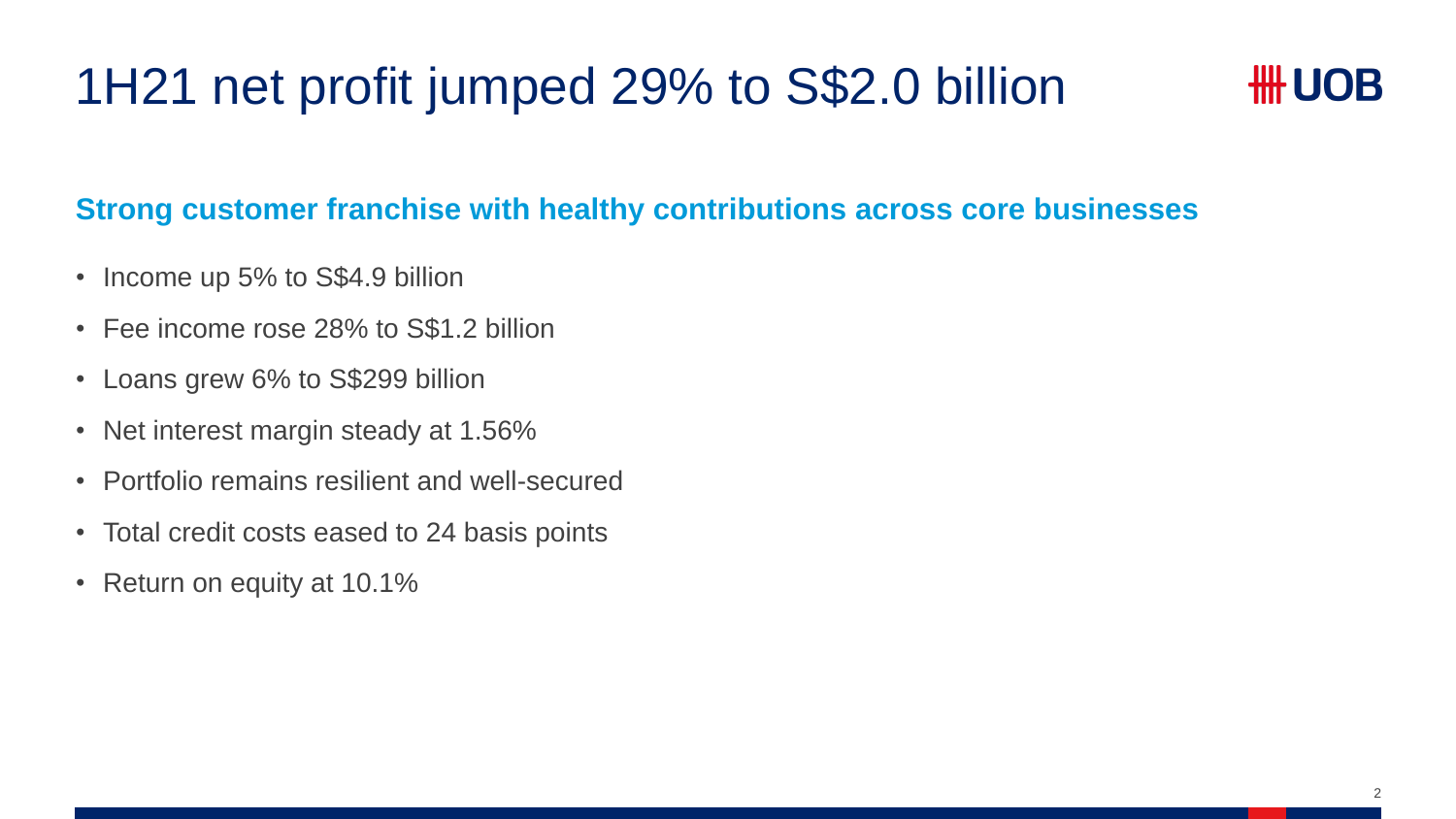# 1H21 net profit jumped 29% to S\$2.0 billion

### *HH UOB*

#### **Strong customer franchise with healthy contributions across core businesses**

- Income up 5% to S\$4.9 billion
- Fee income rose 28% to S\$1.2 billion
- Loans grew 6% to S\$299 billion
- Net interest margin steady at 1.56%
- Portfolio remains resilient and well-secured
- Total credit costs eased to 24 basis points
- Return on equity at 10.1%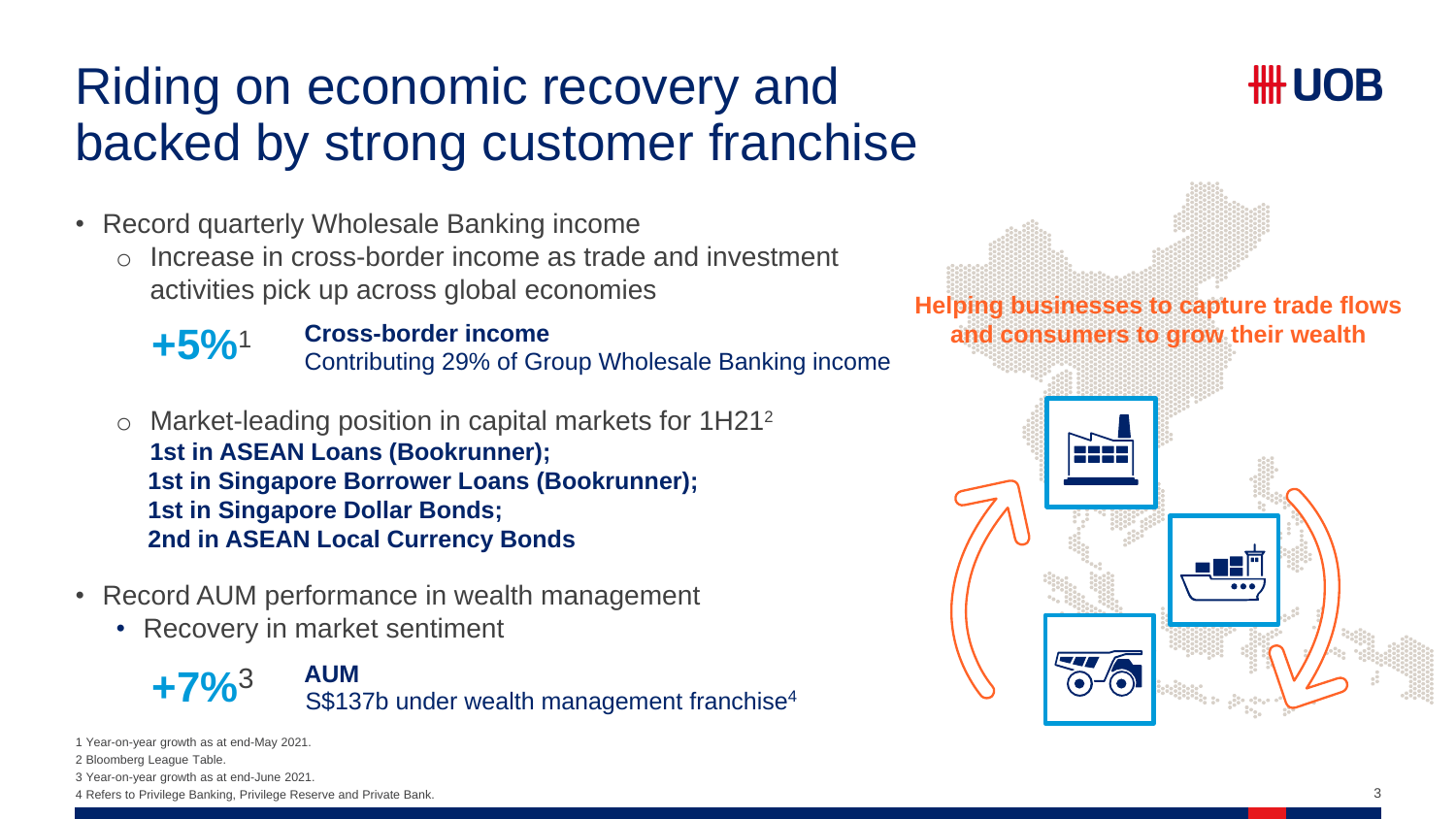### Riding on economic recovery and backed by strong customer franchise



- Record quarterly Wholesale Banking income
	- o Increase in cross-border income as trade and investment activities pick up across global economies



#### **Cross-border income +5%**<sup>1</sup>

Contributing 29% of Group Wholesale Banking income

- o Market-leading position in capital markets for 1H21<sup>2</sup> **1st in ASEAN Loans (Bookrunner); 1st in Singapore Borrower Loans (Bookrunner); 1st in Singapore Dollar Bonds; 2nd in ASEAN Local Currency Bonds**
- Record AUM performance in wealth management
	- Recovery in market sentiment



1 Year-on-year growth as at end-May 2021.

2 Bloomberg League Table.

3 Year-on-year growth as at end-June 2021.

4 Refers to Privilege Banking, Privilege Reserve and Private Bank.

**Helping businesses to capture trade flows and consumers to grow their wealth**

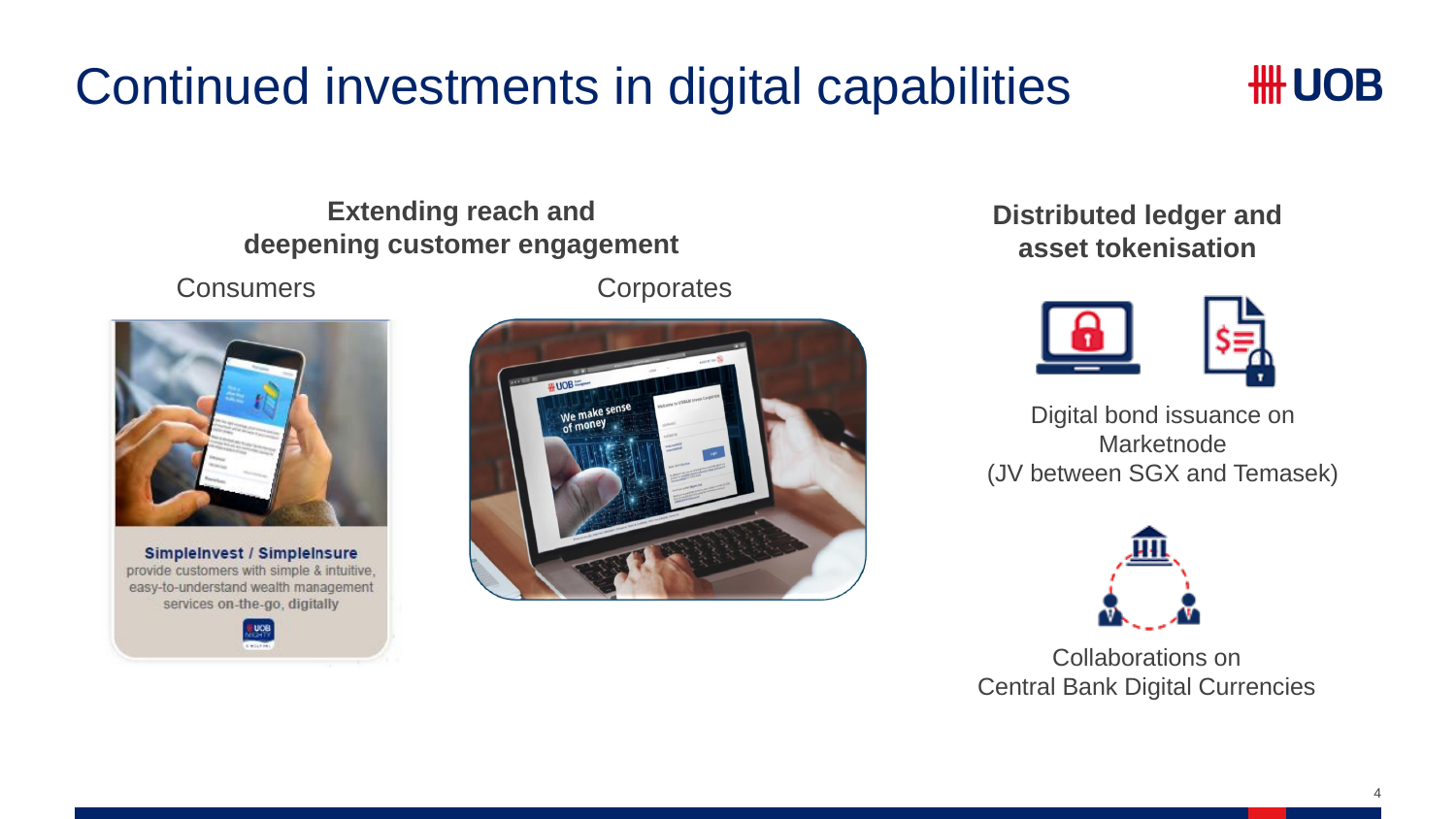# Continued investments in digital capabilities



**Extending reach and deepening customer engagement**



SimpleInvest / SimpleInsure provide customers with simple & intuitive, easy-to-understand wealth management services on-the-go, digitally



Consumers Corporates



**Distributed ledger and asset tokenisation**



Digital bond issuance on Marketnode (JV between SGX and Temasek)



Collaborations on Central Bank Digital Currencies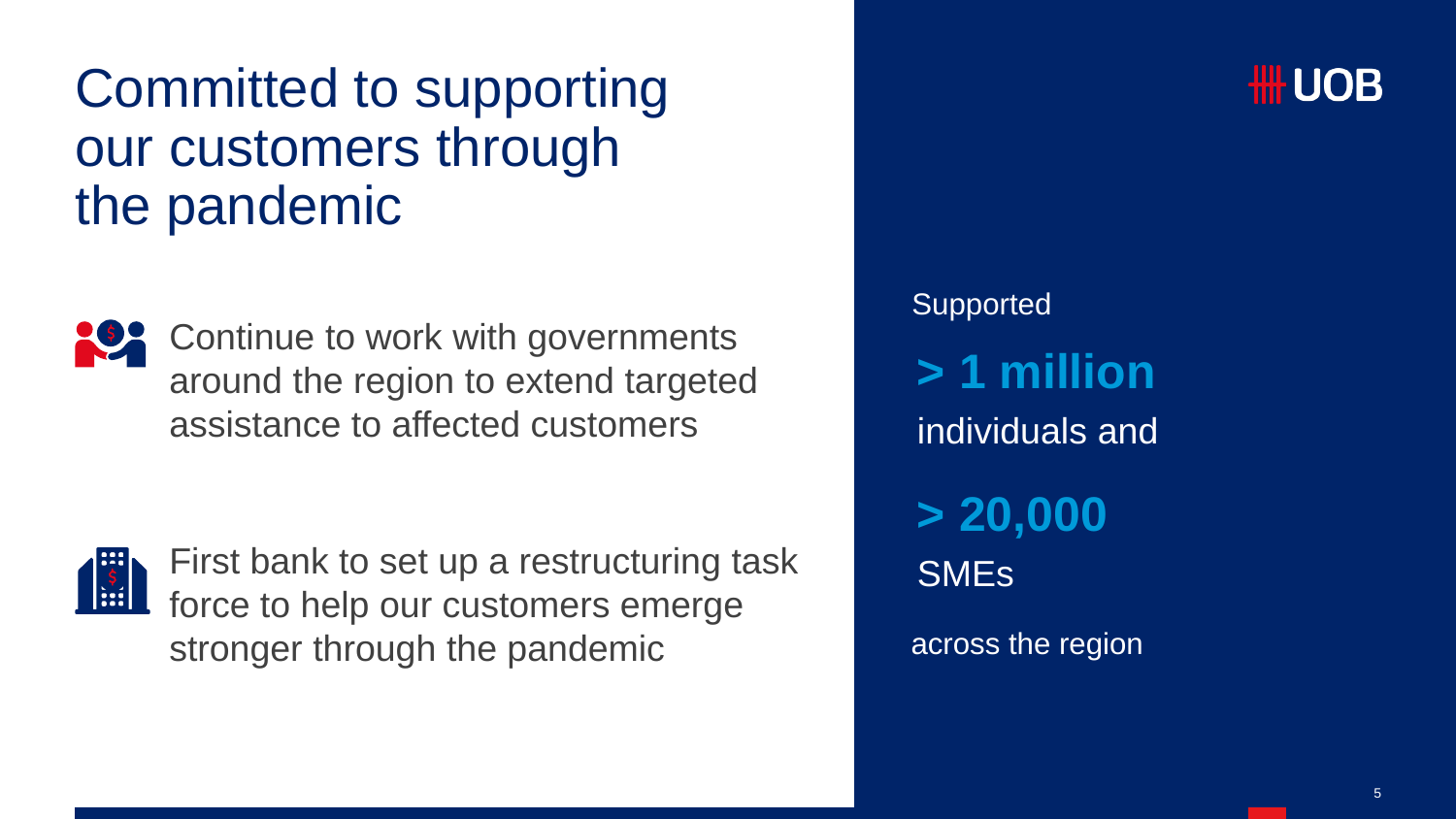# Committed to supporting our customers through the pandemic



Continue to work with governments around the region to extend targeted assistance to affected customers



First bank to set up a restructuring task force to help our customers emerge stronger through the pandemic

**> 1 million** individuals and **> 20,000 SME<sub>s</sub>** Supported across the region

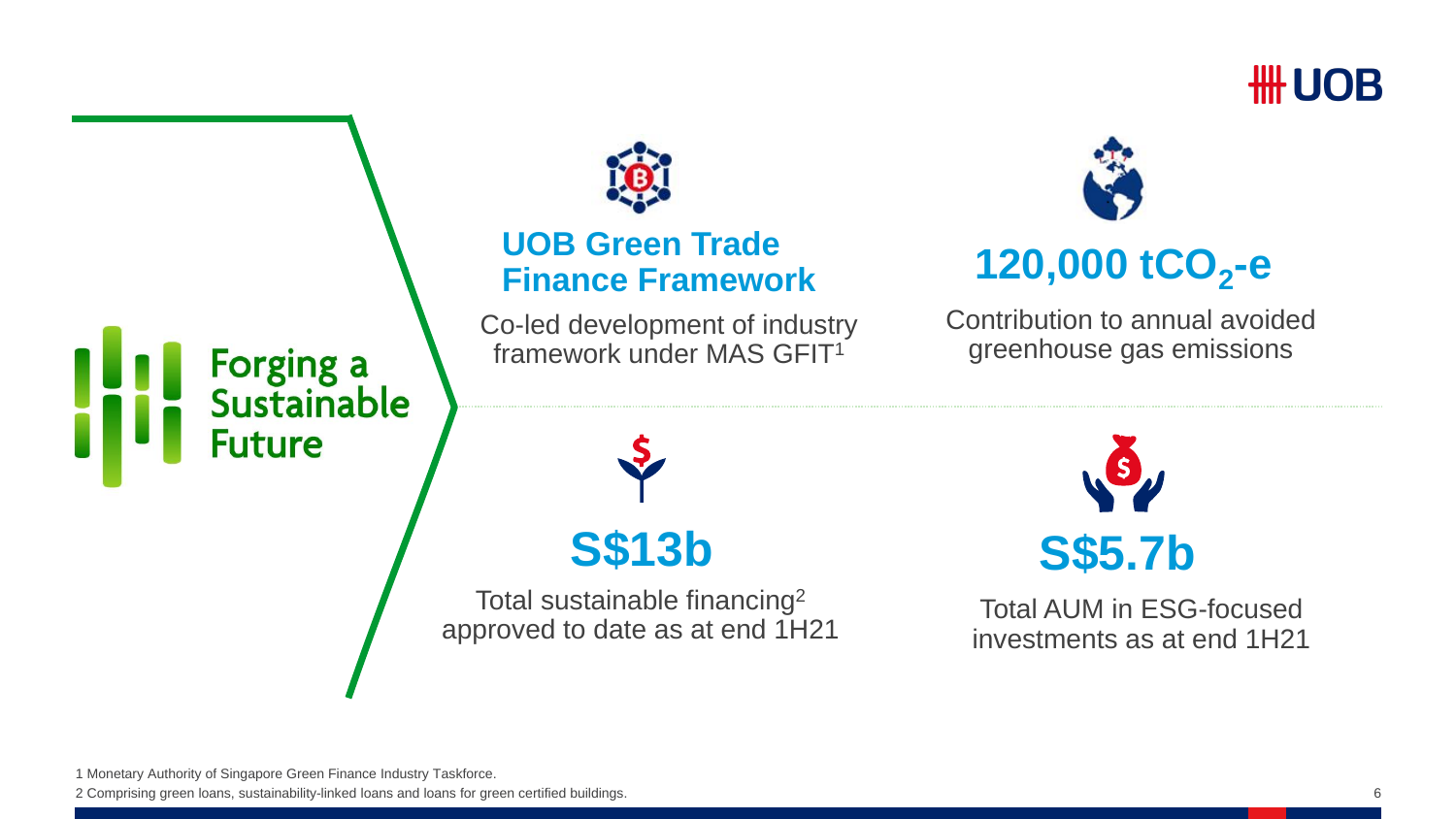

# Forging a<br>Sustainable **Future**



#### **UOB Green Trade Finance Framework 120,000 tCO<sup>2</sup> -e**

Co-led development of industry framework under MAS GFIT<sup>1</sup>



Contribution to annual avoided greenhouse gas emissions

**S\$13b**

Total sustainable financing<sup>2</sup> approved to date as at end 1H21



Total AUM in ESG-focused investments as at end 1H21

1 Monetary Authority of Singapore Green Finance Industry Taskforce.

2 Comprising green loans, sustainability-linked loans and loans for green certified buildings.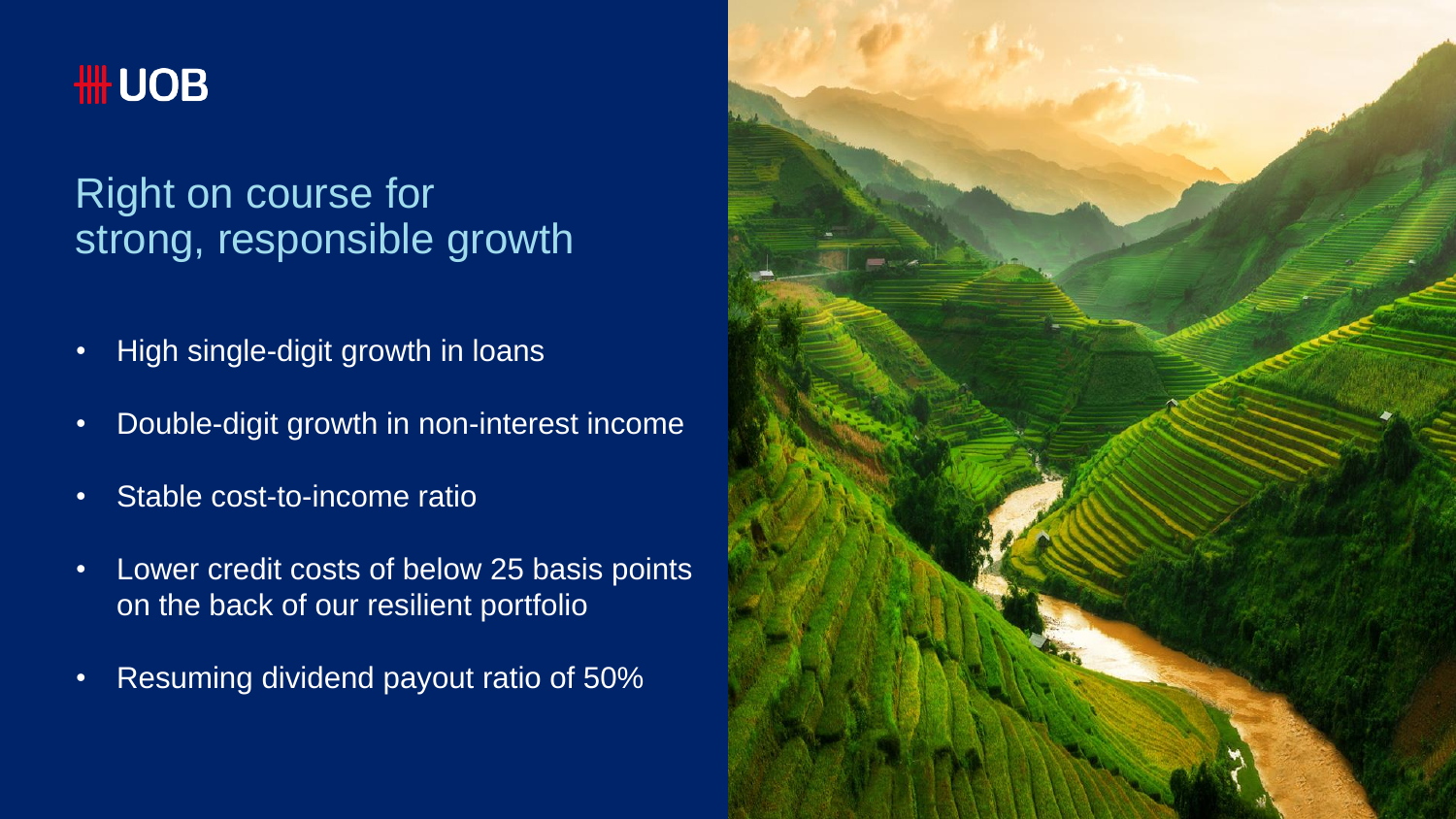

### Right on course for strong, responsible growth

- High single-digit growth in loans
- Double-digit growth in non-interest income
- Stable cost-to-income ratio
- Lower credit costs of below 25 basis points on the back of our resilient portfolio
- Resuming dividend payout ratio of 50%